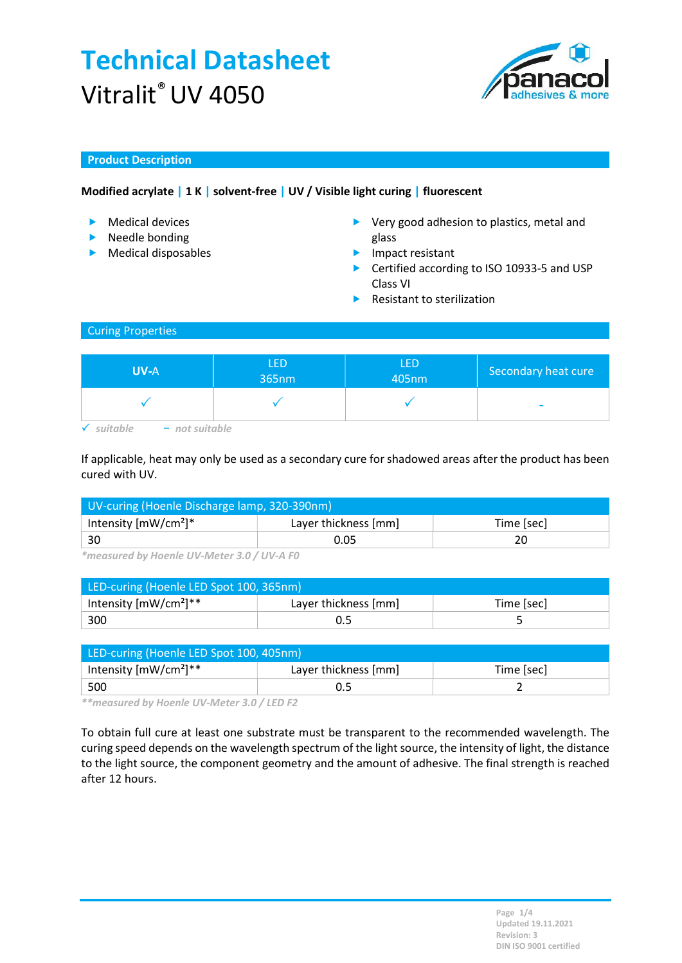# Technical Datasheet Vitralit® UV 4050



## Product Description

# Modified acrylate | 1 K | solvent-free | UV / Visible light curing | fluorescent

- **Medical devices**
- $\blacktriangleright$  Needle bonding
- **Medical disposables**
- ▶ Very good adhesion to plastics, metal and glass
- **Impact resistant**
- ▶ Certified according to ISO 10933-5 and USP Class VI
- $\blacktriangleright$  Resistant to sterilization

## Curing Properties

| <b>UV-A</b>    | <b>LED</b><br>365nm | LED<br>405nm | Secondary heat cure      |
|----------------|---------------------|--------------|--------------------------|
|                |                     |              | $\overline{\phantom{a}}$ |
| - not suitable |                     |              |                          |

If applicable, heat may only be used as a secondary cure for shadowed areas after the product has been cured with UV.

| UV-curing (Hoenle Discharge lamp, 320-390nm) |                      |            |  |
|----------------------------------------------|----------------------|------------|--|
| Intensity $[mW/cm^2]^*$                      | Layer thickness [mm] | Time [sec] |  |
| $\vert$ 30                                   | 0.05                 |            |  |

\*measured by Hoenle UV-Meter 3.0 / UV-A F0

| LED-curing (Hoenle LED Spot 100, 365nm) |                      |            |  |
|-----------------------------------------|----------------------|------------|--|
| Intensity $[mW/cm^2]^{**}$              | Layer thickness [mm] | Time [sec] |  |
| 300                                     |                      |            |  |

| LED-curing (Hoenle LED Spot 100, 405nm) |                      |            |  |
|-----------------------------------------|----------------------|------------|--|
| Intensity $[mW/cm^2]^{**}$              | Layer thickness [mm] | Time [sec] |  |
| 500                                     |                      |            |  |

\*\*measured by Hoenle UV-Meter 3.0 / LED F2

To obtain full cure at least one substrate must be transparent to the recommended wavelength. The curing speed depends on the wavelength spectrum of the light source, the intensity of light, the distance to the light source, the component geometry and the amount of adhesive. The final strength is reached after 12 hours.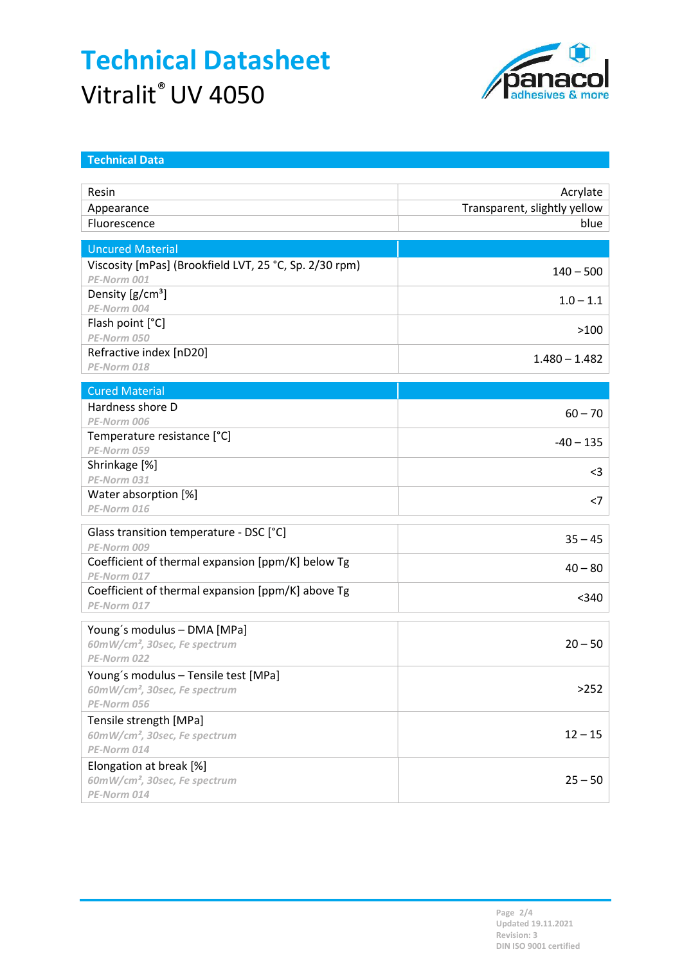# Technical Datasheet Vitralit® UV 4050



| <b>Technical Data</b>                                  |                              |
|--------------------------------------------------------|------------------------------|
|                                                        |                              |
| Resin                                                  | Acrylate                     |
| Appearance                                             | Transparent, slightly yellow |
| Fluorescence                                           | blue                         |
| <b>Uncured Material</b>                                |                              |
| Viscosity [mPas] (Brookfield LVT, 25 °C, Sp. 2/30 rpm) |                              |
| PE-Norm 001                                            | $140 - 500$                  |
| Density $[g/cm^3]$                                     |                              |
| PE-Norm 004                                            | $1.0 - 1.1$                  |
| Flash point [°C]                                       |                              |
| PE-Norm 050                                            | >100                         |
| Refractive index [nD20]                                | $1.480 - 1.482$              |
| PE-Norm 018                                            |                              |
| <b>Cured Material</b>                                  |                              |
| Hardness shore D                                       | $60 - 70$                    |
| PE-Norm 006                                            |                              |
| Temperature resistance [°C]                            | $-40 - 135$                  |
| PE-Norm 059                                            |                              |
| Shrinkage [%]                                          | $<$ 3                        |
| PE-Norm 031                                            |                              |
| Water absorption [%]                                   | $<$ 7                        |
| PE-Norm 016                                            |                              |
| Glass transition temperature - DSC [°C]                |                              |
| PE-Norm 009                                            | $35 - 45$                    |
| Coefficient of thermal expansion [ppm/K] below Tg      | $40 - 80$                    |
| PE-Norm 017                                            |                              |
| Coefficient of thermal expansion [ppm/K] above Tg      | $340$                        |
| PE-Norm 017                                            |                              |
| Young's modulus - DMA [MPa]                            |                              |
| 60mW/cm <sup>2</sup> , 30sec, Fe spectrum              | $20 - 50$                    |
| PE-Norm 022                                            |                              |
| Young's modulus - Tensile test [MPa]                   |                              |
| 60mW/cm <sup>2</sup> , 30sec, Fe spectrum              | >252                         |
| PE-Norm 056                                            |                              |
| Tensile strength [MPa]                                 |                              |
| 60mW/cm <sup>2</sup> , 30sec, Fe spectrum              | $12 - 15$                    |
| PE-Norm 014                                            |                              |
| Elongation at break [%]                                |                              |
| 60mW/cm <sup>2</sup> , 30sec, Fe spectrum              | $25 - 50$                    |
| PE-Norm 014                                            |                              |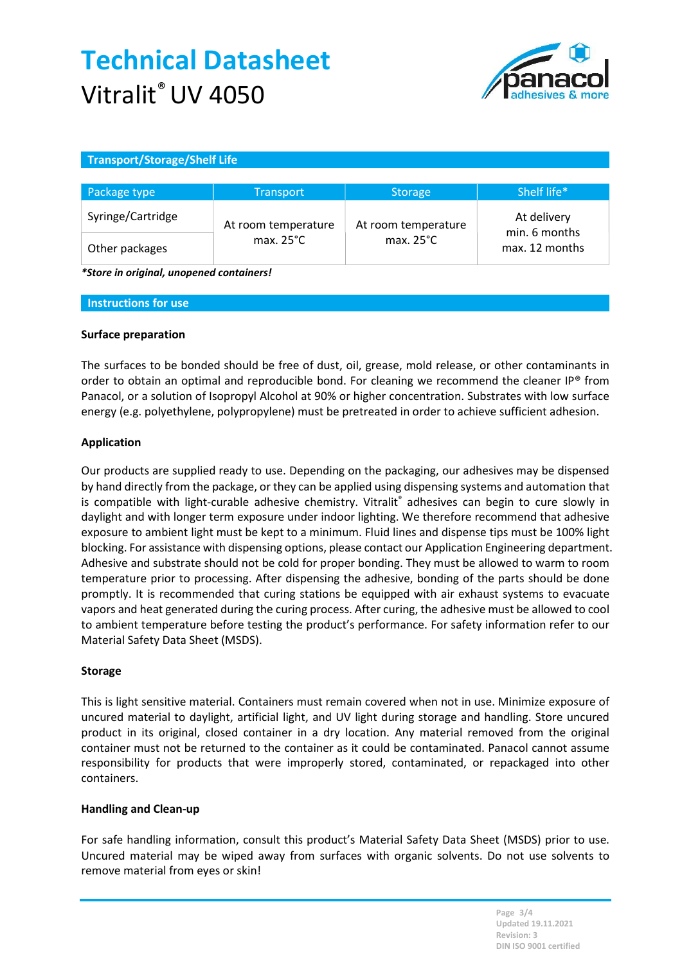# Technical Datasheet Vitralit<sup>®</sup> UV 4050



## Transport/Storage/Shelf Life

| Package type      | <b>Transport</b>    | <b>Storage</b>      | Shelf life*                     |
|-------------------|---------------------|---------------------|---------------------------------|
| Syringe/Cartridge | At room temperature | At room temperature | At delivery                     |
| Other packages    | max. $25^{\circ}$ C | max. $25^{\circ}$ C | min. 6 months<br>max. 12 months |

\*Store in original, unopened containers!

#### Instructions for use

#### Surface preparation

The surfaces to be bonded should be free of dust, oil, grease, mold release, or other contaminants in order to obtain an optimal and reproducible bond. For cleaning we recommend the cleaner IP® from Panacol, or a solution of Isopropyl Alcohol at 90% or higher concentration. Substrates with low surface energy (e.g. polyethylene, polypropylene) must be pretreated in order to achieve sufficient adhesion.

## Application

Our products are supplied ready to use. Depending on the packaging, our adhesives may be dispensed by hand directly from the package, or they can be applied using dispensing systems and automation that is compatible with light-curable adhesive chemistry. Vitralit® adhesives can begin to cure slowly in daylight and with longer term exposure under indoor lighting. We therefore recommend that adhesive exposure to ambient light must be kept to a minimum. Fluid lines and dispense tips must be 100% light blocking. For assistance with dispensing options, please contact our Application Engineering department. Adhesive and substrate should not be cold for proper bonding. They must be allowed to warm to room temperature prior to processing. After dispensing the adhesive, bonding of the parts should be done promptly. It is recommended that curing stations be equipped with air exhaust systems to evacuate vapors and heat generated during the curing process. After curing, the adhesive must be allowed to cool to ambient temperature before testing the product's performance. For safety information refer to our Material Safety Data Sheet (MSDS).

## Storage

This is light sensitive material. Containers must remain covered when not in use. Minimize exposure of uncured material to daylight, artificial light, and UV light during storage and handling. Store uncured product in its original, closed container in a dry location. Any material removed from the original container must not be returned to the container as it could be contaminated. Panacol cannot assume responsibility for products that were improperly stored, contaminated, or repackaged into other containers.

## Handling and Clean-up

For safe handling information, consult this product's Material Safety Data Sheet (MSDS) prior to use. Uncured material may be wiped away from surfaces with organic solvents. Do not use solvents to remove material from eyes or skin!